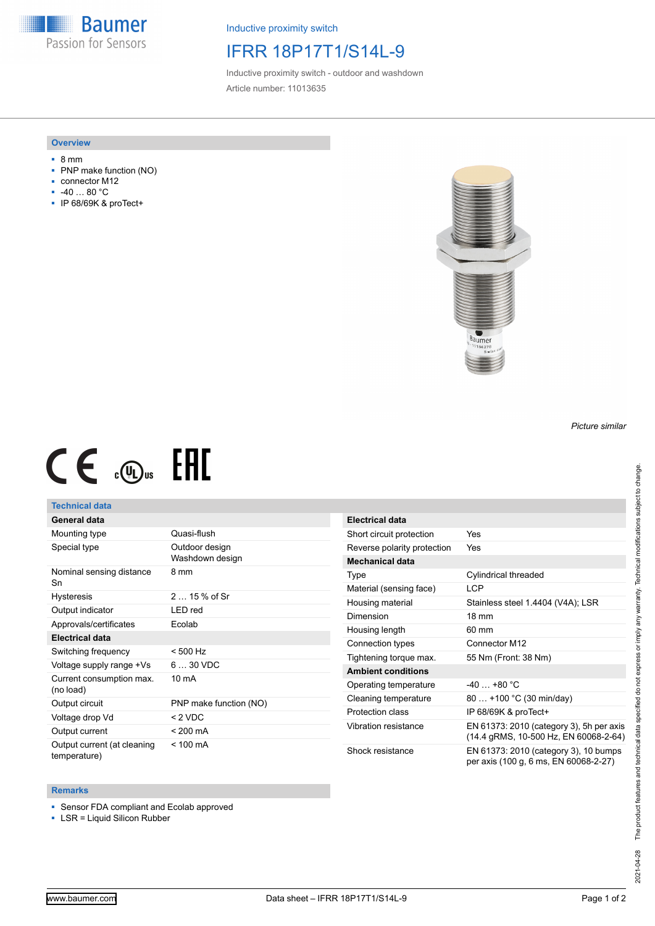**Baumer** Passion for Sensors

Inductive proximity switch

## IFRR 18P17T1/S14L-9

Inductive proximity switch - outdoor and washdown Article number: 11013635

#### **Overview**

- 8 mm
- PNP make function (NO)
- connector M12
- -40 … 80 °C
- IP 68/69K & proTect+



# $CE \mathcal{L}$  (Dus FHI

### **Technical data**

## **General data**

| Mounting type                               | Quasi-flush                       |
|---------------------------------------------|-----------------------------------|
| Special type                                | Outdoor design<br>Washdown design |
| Nominal sensing distance<br>Sn              | 8 mm                              |
| <b>Hysteresis</b>                           | $215%$ of Sr                      |
| Output indicator                            | LED red                           |
| Approvals/certificates                      | Ecolab                            |
| <b>Electrical data</b>                      |                                   |
| Switching frequency                         | $< 500$ Hz                        |
| Voltage supply range +Vs                    | $630$ VDC                         |
| Current consumption max.<br>(no load)       | $10 \text{ mA}$                   |
| Output circuit                              | PNP make function (NO)            |
| Voltage drop Vd                             | < 2 VDC                           |
| Output current                              | < 200 mA                          |
| Output current (at cleaning<br>temperature) | $< 100 \text{ mA}$                |

| Electrical data             |                                                                                   |
|-----------------------------|-----------------------------------------------------------------------------------|
| Short circuit protection    | Yes                                                                               |
| Reverse polarity protection | Yes                                                                               |
| Mechanical data             |                                                                                   |
| Type                        | Cylindrical threaded                                                              |
| Material (sensing face)     | <b>LCP</b>                                                                        |
| Housing material            | Stainless steel 1.4404 (V4A); LSR                                                 |
| Dimension                   | $18 \text{ mm}$                                                                   |
| Housing length              | 60 mm                                                                             |
| Connection types            | Connector M12                                                                     |
| Tightening torque max.      | 55 Nm (Front: 38 Nm)                                                              |
| <b>Ambient conditions</b>   |                                                                                   |
| Operating temperature       | $-40+80 °C$                                                                       |
| Cleaning temperature        | 80  +100 °C (30 min/day)                                                          |
| Protection class            | IP 68/69K & proTect+                                                              |
| Vibration resistance        | EN 61373: 2010 (category 3), 5h per axis<br>(14.4 gRMS, 10-500 Hz, EN 60068-2-64) |
| Shock resistance            | EN 61373: 2010 (category 3), 10 bumps<br>per axis (100 g, 6 ms, EN 60068-2-27)    |

#### **Remarks**

■ Sensor FDA compliant and Ecolab approved

■ LSR = Liquid Silicon Rubber

*Picture similar*